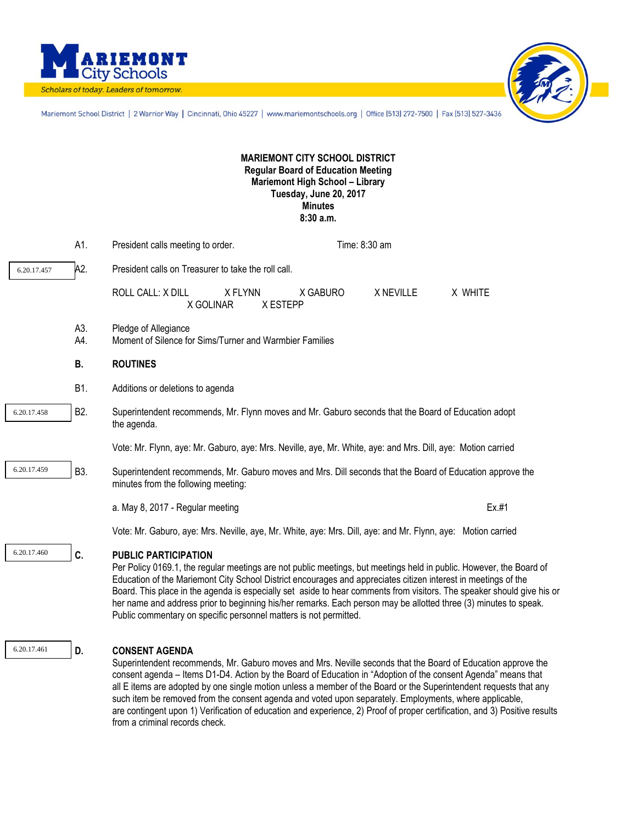



Mariemont School District | 2 Warrior Way | Cincinnati, Ohio 45227 | www.mariemontschools.org | Office (513) 272-7500 | Fax (513) 527-3436

## **MARIEMONT CITY SCHOOL DISTRICT Regular Board of Education Meeting Mariemont High School – Library Tuesday, June 20, 2017 Minutes 8:30 a.m.**

|             | A1.              | President calls meeting to order.                                                                                                                                                                                                                                                                                                                                                                                                                                                                                                                                                       |          | Time: 8:30 am |         |
|-------------|------------------|-----------------------------------------------------------------------------------------------------------------------------------------------------------------------------------------------------------------------------------------------------------------------------------------------------------------------------------------------------------------------------------------------------------------------------------------------------------------------------------------------------------------------------------------------------------------------------------------|----------|---------------|---------|
| 6.20.17.457 | A2.              | President calls on Treasurer to take the roll call.                                                                                                                                                                                                                                                                                                                                                                                                                                                                                                                                     |          |               |         |
|             |                  | ROLL CALL: X DILL<br>X FLYNN<br>X ESTEPP<br>X GOLINAR                                                                                                                                                                                                                                                                                                                                                                                                                                                                                                                                   | X GABURO | X NEVILLE     | X WHITE |
|             | A3.<br>A4.       | Pledge of Allegiance<br>Moment of Silence for Sims/Turner and Warmbier Families                                                                                                                                                                                                                                                                                                                                                                                                                                                                                                         |          |               |         |
|             | В.               | <b>ROUTINES</b>                                                                                                                                                                                                                                                                                                                                                                                                                                                                                                                                                                         |          |               |         |
|             | B1.              | Additions or deletions to agenda                                                                                                                                                                                                                                                                                                                                                                                                                                                                                                                                                        |          |               |         |
| 6.20.17.458 | B <sub>2</sub> . | Superintendent recommends, Mr. Flynn moves and Mr. Gaburo seconds that the Board of Education adopt<br>the agenda.                                                                                                                                                                                                                                                                                                                                                                                                                                                                      |          |               |         |
|             |                  | Vote: Mr. Flynn, aye: Mr. Gaburo, aye: Mrs. Neville, aye, Mr. White, aye: and Mrs. Dill, aye: Motion carried                                                                                                                                                                                                                                                                                                                                                                                                                                                                            |          |               |         |
| 6.20.17.459 | B3.              | Superintendent recommends, Mr. Gaburo moves and Mrs. Dill seconds that the Board of Education approve the<br>minutes from the following meeting:                                                                                                                                                                                                                                                                                                                                                                                                                                        |          |               |         |
|             |                  | a. May 8, 2017 - Regular meeting                                                                                                                                                                                                                                                                                                                                                                                                                                                                                                                                                        |          |               | Ex.#1   |
|             |                  | Vote: Mr. Gaburo, aye: Mrs. Neville, aye, Mr. White, aye: Mrs. Dill, aye: and Mr. Flynn, aye: Motion carried                                                                                                                                                                                                                                                                                                                                                                                                                                                                            |          |               |         |
| 6.20.17.460 | C.               | <b>PUBLIC PARTICIPATION</b><br>Per Policy 0169.1, the regular meetings are not public meetings, but meetings held in public. However, the Board of<br>Education of the Mariemont City School District encourages and appreciates citizen interest in meetings of the<br>Board. This place in the agenda is especially set aside to hear comments from visitors. The speaker should give his or<br>her name and address prior to beginning his/her remarks. Each person may be allotted three (3) minutes to speak.<br>Public commentary on specific personnel matters is not permitted. |          |               |         |
| 6.20.17.461 | D.               | <b>CONSENT AGENDA</b><br>Superintendent recommends, Mr. Gaburo moves and Mrs. Neville seconds that the Board of Education approve the<br>consent agenda - Items D1-D4. Action by the Board of Education in "Adoption of the consent Agenda" means that<br>all E items are adopted by one single motion unless a member of the Board or the Superintendent requests that any                                                                                                                                                                                                             |          |               |         |

such item be removed from the consent agenda and voted upon separately. Employments, where applicable,

from a criminal records check.

are contingent upon 1) Verification of education and experience, 2) Proof of proper certification, and 3) Positive results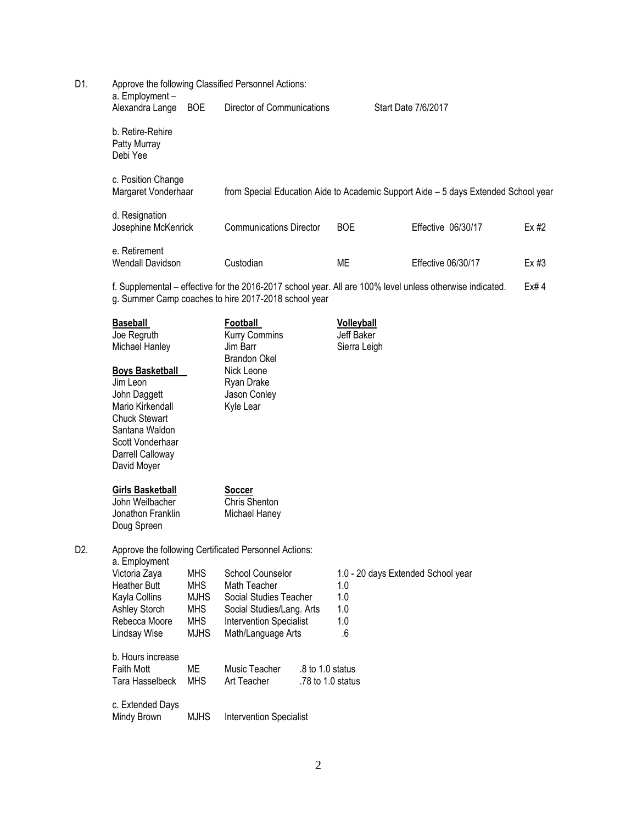| D1. | Approve the following Classified Personnel Actions:<br>a. Employment -                         |                                                                                                                                                                           |                                                 |                                                                                    |         |  |  |  |  |
|-----|------------------------------------------------------------------------------------------------|---------------------------------------------------------------------------------------------------------------------------------------------------------------------------|-------------------------------------------------|------------------------------------------------------------------------------------|---------|--|--|--|--|
|     | Alexandra Lange BOE                                                                            | Director of Communications                                                                                                                                                |                                                 | Start Date 7/6/2017                                                                |         |  |  |  |  |
|     | b. Retire-Rehire<br>Patty Murray<br>Debi Yee                                                   |                                                                                                                                                                           |                                                 |                                                                                    |         |  |  |  |  |
|     | c. Position Change<br>Margaret Vonderhaar                                                      |                                                                                                                                                                           |                                                 | from Special Education Aide to Academic Support Aide - 5 days Extended School year |         |  |  |  |  |
|     | d. Resignation<br>Josephine McKenrick                                                          | <b>Communications Director</b>                                                                                                                                            | <b>BOE</b>                                      | Effective 06/30/17                                                                 | $Ex$ #2 |  |  |  |  |
|     | e. Retirement<br><b>Wendall Davidson</b>                                                       | Custodian                                                                                                                                                                 | <b>ME</b>                                       | Effective 06/30/17                                                                 | $Ex$ #3 |  |  |  |  |
|     |                                                                                                | f. Supplemental - effective for the 2016-2017 school year. All are 100% level unless otherwise indicated.<br>Ex#4<br>g. Summer Camp coaches to hire 2017-2018 school year |                                                 |                                                                                    |         |  |  |  |  |
|     | <b>Baseball</b><br>Joe Regruth<br>Michael Hanley                                               | Football<br><b>Kurry Commins</b><br>Jim Barr<br><b>Brandon Okel</b>                                                                                                       | <b>Volleyball</b><br>Jeff Baker<br>Sierra Leigh |                                                                                    |         |  |  |  |  |
|     | <b>Boys Basketball</b><br>Jim Leon<br>John Daggett<br>Mario Kirkendall<br><b>Chuck Stewart</b> | Nick Leone<br>Ryan Drake<br>Jason Conley<br>Kyle Lear                                                                                                                     |                                                 |                                                                                    |         |  |  |  |  |

|                | Doug Spreen                                           |
|----------------|-------------------------------------------------------|
| D <sub>2</sub> | Approve the following Certificated Personnel Actions: |

**Girls Basketball**<br>
John Weilbacher<br>
Jonathon Franklin Michael Haney

Santana Waldon Scott Vonderhaar Darrell Calloway David Moyer

John Weilbacher Jonathon Franklin

a. Employment<br>Victoria Zava

| $u_{\rm t}$ Lindrey and $u_{\rm t}$ |             |                                |                    |                                    |
|-------------------------------------|-------------|--------------------------------|--------------------|------------------------------------|
| Victoria Zaya                       | <b>MHS</b>  | School Counselor               |                    | 1.0 - 20 days Extended School year |
| <b>Heather Butt</b>                 | <b>MHS</b>  | Math Teacher                   |                    | 1.0                                |
| Kayla Collins                       | <b>MJHS</b> | Social Studies Teacher         |                    | 1.0                                |
| Ashley Storch                       | <b>MHS</b>  | Social Studies/Lang. Arts      |                    | 1.0                                |
| Rebecca Moore                       | MHS.        | <b>Intervention Specialist</b> |                    | 1.0                                |
| Lindsay Wise                        | <b>MJHS</b> | Math/Language Arts             |                    | .6                                 |
| b. Hours increase                   |             |                                |                    |                                    |
| <b>Faith Mott</b>                   | МE          | Music Teacher                  | $.8$ to 1.0 status |                                    |
| Tara Hasselbeck                     | <b>MHS</b>  | Art Teacher                    | .78 to 1.0 status  |                                    |
| c. Extended Days                    |             |                                |                    |                                    |
| Mindy Brown                         | <b>MJHS</b> | <b>Intervention Specialist</b> |                    |                                    |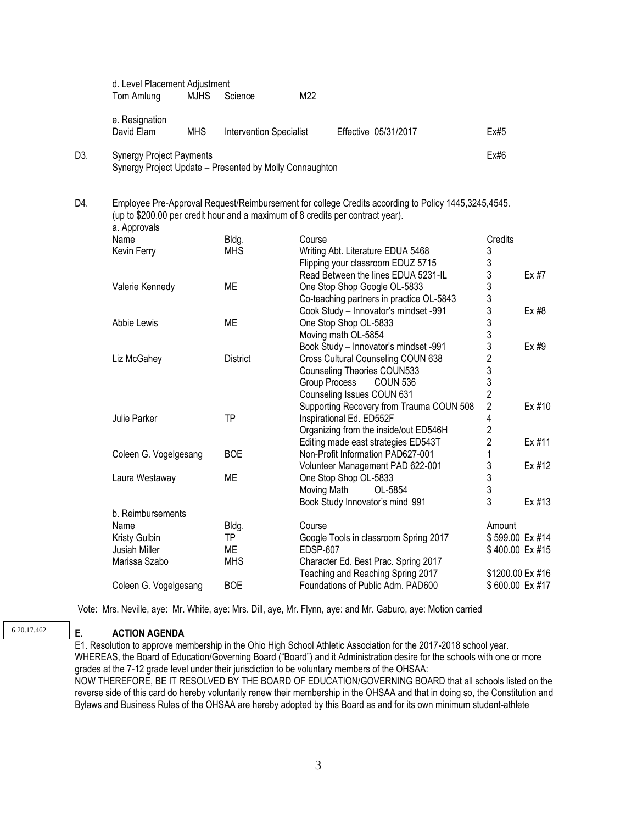|     | d. Level Placement Adjustment<br>Tom Amlung                                                | <b>MJHS</b> | Science                        | M22             |                                                                                                                                                                                       |                  |        |
|-----|--------------------------------------------------------------------------------------------|-------------|--------------------------------|-----------------|---------------------------------------------------------------------------------------------------------------------------------------------------------------------------------------|------------------|--------|
|     | e. Resignation<br>David Elam                                                               | <b>MHS</b>  | <b>Intervention Specialist</b> |                 | Effective 05/31/2017                                                                                                                                                                  | Ex#5             |        |
| D3. | <b>Synergy Project Payments</b><br>Synergy Project Update - Presented by Molly Connaughton |             |                                |                 |                                                                                                                                                                                       | Ex#6             |        |
| D4. | a. Approvals                                                                               |             |                                |                 | Employee Pre-Approval Request/Reimbursement for college Credits according to Policy 1445,3245,4545.<br>(up to \$200.00 per credit hour and a maximum of 8 credits per contract year). |                  |        |
|     | Name                                                                                       |             | Bldg.                          | Course          |                                                                                                                                                                                       | Credits          |        |
|     | Kevin Ferry                                                                                |             | <b>MHS</b>                     |                 | Writing Abt. Literature EDUA 5468                                                                                                                                                     | 3                |        |
|     |                                                                                            |             |                                |                 | Flipping your classroom EDUZ 5715                                                                                                                                                     | 3                |        |
|     |                                                                                            |             |                                |                 | Read Between the lines EDUA 5231-IL                                                                                                                                                   | 3                | Ex #7  |
|     | Valerie Kennedy                                                                            |             | <b>ME</b>                      |                 | One Stop Shop Google OL-5833                                                                                                                                                          | 3                |        |
|     |                                                                                            |             |                                |                 | Co-teaching partners in practice OL-5843                                                                                                                                              | 3                |        |
|     |                                                                                            |             |                                |                 | Cook Study - Innovator's mindset -991                                                                                                                                                 | 3                | Ex #8  |
|     | Abbie Lewis                                                                                |             | МE                             |                 | One Stop Shop OL-5833                                                                                                                                                                 | 3                |        |
|     |                                                                                            |             |                                |                 | Moving math OL-5854                                                                                                                                                                   | 3                |        |
|     |                                                                                            |             |                                |                 | Book Study - Innovator's mindset -991                                                                                                                                                 | 3                | Ex #9  |
|     | Liz McGahey                                                                                |             | <b>District</b>                |                 | Cross Cultural Counseling COUN 638                                                                                                                                                    | $\overline{c}$   |        |
|     |                                                                                            |             |                                |                 | <b>Counseling Theories COUN533</b>                                                                                                                                                    | 3                |        |
|     |                                                                                            |             |                                |                 | <b>Group Process</b><br><b>COUN 536</b>                                                                                                                                               | 3                |        |
|     |                                                                                            |             |                                |                 | Counseling Issues COUN 631                                                                                                                                                            | $\overline{2}$   |        |
|     |                                                                                            |             |                                |                 | Supporting Recovery from Trauma COUN 508                                                                                                                                              | $\overline{2}$   | Ex #10 |
|     | Julie Parker                                                                               |             | <b>TP</b>                      |                 | Inspirational Ed. ED552F                                                                                                                                                              | 4                |        |
|     |                                                                                            |             |                                |                 | Organizing from the inside/out ED546H                                                                                                                                                 | $\overline{2}$   |        |
|     |                                                                                            |             |                                |                 | Editing made east strategies ED543T                                                                                                                                                   | $\overline{2}$   | Ex #11 |
|     | Coleen G. Vogelgesang                                                                      |             | <b>BOE</b>                     |                 | Non-Profit Information PAD627-001                                                                                                                                                     | 1                |        |
|     |                                                                                            |             |                                |                 | Volunteer Management PAD 622-001                                                                                                                                                      | 3                | Ex #12 |
|     | Laura Westaway                                                                             |             | <b>ME</b>                      |                 | One Stop Shop OL-5833                                                                                                                                                                 | $\mathfrak{Z}$   |        |
|     |                                                                                            |             |                                | Moving Math     | OL-5854                                                                                                                                                                               | 3                |        |
|     |                                                                                            |             |                                |                 | Book Study Innovator's mind 991                                                                                                                                                       | 3                | Ex #13 |
|     | b. Reimbursements                                                                          |             |                                |                 |                                                                                                                                                                                       |                  |        |
|     | Name                                                                                       |             | Bldg.                          | Course          |                                                                                                                                                                                       | Amount           |        |
|     | <b>Kristy Gulbin</b>                                                                       |             | <b>TP</b>                      |                 | Google Tools in classroom Spring 2017                                                                                                                                                 | \$599.00 Ex #14  |        |
|     | Jusiah Miller                                                                              |             | МE                             | <b>EDSP-607</b> |                                                                                                                                                                                       | \$400.00 Ex #15  |        |
|     | Marissa Szabo                                                                              |             | <b>MHS</b>                     |                 | Character Ed. Best Prac. Spring 2017                                                                                                                                                  |                  |        |
|     |                                                                                            |             |                                |                 | Teaching and Reaching Spring 2017                                                                                                                                                     | \$1200.00 Ex #16 |        |
|     | Coleen G. Vogelgesang                                                                      |             | <b>BOE</b>                     |                 | Foundations of Public Adm. PAD600                                                                                                                                                     | \$600.00 Ex #17  |        |
|     |                                                                                            |             |                                |                 |                                                                                                                                                                                       |                  |        |

Vote: Mrs. Neville, aye: Mr. White, aye: Mrs. Dill, aye, Mr. Flynn, aye: and Mr. Gaburo, aye: Motion carried

## 6.20.17.462

## **E. ACTION AGENDA**

E1. Resolution to approve membership in the Ohio High School Athletic Association for the 2017-2018 school year. WHEREAS, the Board of Education/Governing Board ("Board") and it Administration desire for the schools with one or more grades at the 7-12 grade level under their jurisdiction to be voluntary members of the OHSAA: NOW THEREFORE, BE IT RESOLVED BY THE BOARD OF EDUCATION/GOVERNING BOARD that all schools listed on the reverse side of this card do hereby voluntarily renew their membership in the OHSAA and that in doing so, the Constitution and Bylaws and Business Rules of the OHSAA are hereby adopted by this Board as and for its own minimum student-athlete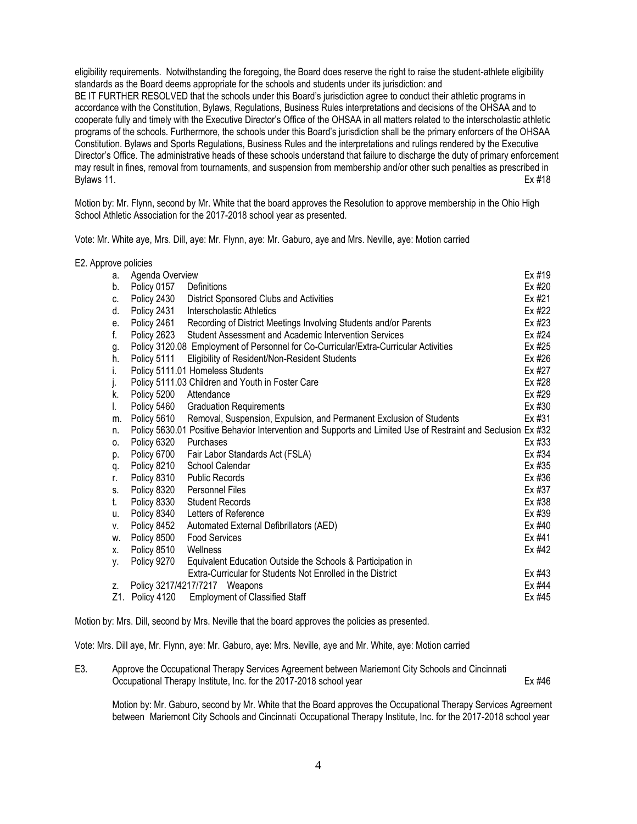eligibility requirements. Notwithstanding the foregoing, the Board does reserve the right to raise the student-athlete eligibility standards as the Board deems appropriate for the schools and students under its jurisdiction: and BE IT FURTHER RESOLVED that the schools under this Board's jurisdiction agree to conduct their athletic programs in accordance with the Constitution, Bylaws, Regulations, Business Rules interpretations and decisions of the OHSAA and to cooperate fully and timely with the Executive Director's Office of the OHSAA in all matters related to the interscholastic athletic programs of the schools. Furthermore, the schools under this Board's jurisdiction shall be the primary enforcers of the OHSAA Constitution. Bylaws and Sports Regulations, Business Rules and the interpretations and rulings rendered by the Executive Director's Office. The administrative heads of these schools understand that failure to discharge the duty of primary enforcement may result in fines, removal from tournaments, and suspension from membership and/or other such penalties as prescribed in Bylaws 11. Ex #18

Motion by: Mr. Flynn, second by Mr. White that the board approves the Resolution to approve membership in the Ohio High School Athletic Association for the 2017-2018 school year as presented.

Vote: Mr. White aye, Mrs. Dill, aye: Mr. Flynn, aye: Mr. Gaburo, aye and Mrs. Neville, aye: Motion carried

| E2. Approve policies |     |                 |                                                                                                              |        |
|----------------------|-----|-----------------|--------------------------------------------------------------------------------------------------------------|--------|
|                      | a.  | Agenda Overview |                                                                                                              | Ex #19 |
|                      | b.  | Policy 0157     | Definitions                                                                                                  | Ex #20 |
|                      | C.  | Policy 2430     | District Sponsored Clubs and Activities                                                                      | Ex #21 |
|                      | d.  | Policy 2431     | Interscholastic Athletics                                                                                    | Ex #22 |
|                      | е.  | Policy 2461     | Recording of District Meetings Involving Students and/or Parents                                             | Ex #23 |
|                      | f.  | Policy 2623     | Student Assessment and Academic Intervention Services                                                        | Ex #24 |
|                      | g.  |                 | Policy 3120.08 Employment of Personnel for Co-Curricular/Extra-Curricular Activities                         | Ex #25 |
|                      | h.  | Policy 5111     | Eligibility of Resident/Non-Resident Students                                                                | Ex #26 |
|                      | i.  |                 | Policy 5111.01 Homeless Students                                                                             | Ex #27 |
|                      | j.  |                 | Policy 5111.03 Children and Youth in Foster Care                                                             | Ex #28 |
|                      | k.  | Policy 5200     | Attendance                                                                                                   | Ex #29 |
|                      | I.  | Policy 5460     | <b>Graduation Requirements</b>                                                                               | Ex #30 |
|                      | m.  | Policy 5610     | Removal, Suspension, Expulsion, and Permanent Exclusion of Students                                          | Ex #31 |
|                      | n.  |                 | Policy 5630.01 Positive Behavior Intervention and Supports and Limited Use of Restraint and Seclusion Ex #32 |        |
|                      | 0.  | Policy 6320     | Purchases                                                                                                    | Ex #33 |
|                      | p.  | Policy 6700     | Fair Labor Standards Act (FSLA)                                                                              | Ex #34 |
|                      | q.  | Policy 8210     | School Calendar                                                                                              | Ex #35 |
|                      | r.  | Policy 8310     | Public Records                                                                                               | Ex #36 |
|                      | S.  | Policy 8320     | Personnel Files                                                                                              | Ex #37 |
|                      | t.  | Policy 8330     | <b>Student Records</b>                                                                                       | Ex #38 |
|                      | u.  | Policy 8340     | Letters of Reference                                                                                         | Ex #39 |
|                      | V.  | Policy 8452     | Automated External Defibrillators (AED)                                                                      | Ex #40 |
|                      | W.  | Policy 8500     | <b>Food Services</b>                                                                                         | Ex #41 |
|                      | Χ.  | Policy 8510     | Wellness                                                                                                     | Ex #42 |
|                      | у.  | Policy 9270     | Equivalent Education Outside the Schools & Participation in                                                  |        |
|                      |     |                 | Extra-Curricular for Students Not Enrolled in the District                                                   | Ex #43 |
|                      | Z.  |                 | Policy 3217/4217/7217 Weapons                                                                                | Ex #44 |
|                      | Z1. | Policy 4120     | <b>Employment of Classified Staff</b>                                                                        | Ex #45 |

Motion by: Mrs. Dill, second by Mrs. Neville that the board approves the policies as presented.

Vote: Mrs. Dill aye, Mr. Flynn, aye: Mr. Gaburo, aye: Mrs. Neville, aye and Mr. White, aye: Motion carried

| Е3. | Approve the Occupational Therapy Services Agreement between Mariemont City Schools and Cincinnati |        |
|-----|---------------------------------------------------------------------------------------------------|--------|
|     | Occupational Therapy Institute, Inc. for the 2017-2018 school year                                | Ex #46 |

Motion by: Mr. Gaburo, second by Mr. White that the Board approves the Occupational Therapy Services Agreement between Mariemont City Schools and Cincinnati Occupational Therapy Institute, Inc. for the 2017-2018 school year